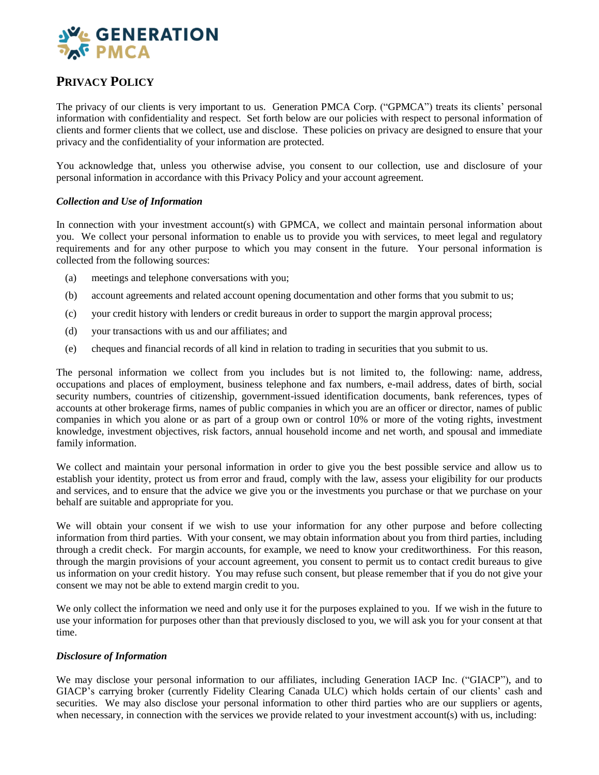

# **PRIVACY POLICY**

The privacy of our clients is very important to us. Generation PMCA Corp. ("GPMCA") treats its clients' personal information with confidentiality and respect. Set forth below are our policies with respect to personal information of clients and former clients that we collect, use and disclose. These policies on privacy are designed to ensure that your privacy and the confidentiality of your information are protected.

You acknowledge that, unless you otherwise advise, you consent to our collection, use and disclosure of your personal information in accordance with this Privacy Policy and your account agreement.

### *Collection and Use of Information*

In connection with your investment account(s) with GPMCA, we collect and maintain personal information about you. We collect your personal information to enable us to provide you with services, to meet legal and regulatory requirements and for any other purpose to which you may consent in the future. Your personal information is collected from the following sources:

- (a) meetings and telephone conversations with you;
- (b) account agreements and related account opening documentation and other forms that you submit to us;
- (c) your credit history with lenders or credit bureaus in order to support the margin approval process;
- (d) your transactions with us and our affiliates; and
- (e) cheques and financial records of all kind in relation to trading in securities that you submit to us.

The personal information we collect from you includes but is not limited to, the following: name, address, occupations and places of employment, business telephone and fax numbers, e-mail address, dates of birth, social security numbers, countries of citizenship, government-issued identification documents, bank references, types of accounts at other brokerage firms, names of public companies in which you are an officer or director, names of public companies in which you alone or as part of a group own or control 10% or more of the voting rights, investment knowledge, investment objectives, risk factors, annual household income and net worth, and spousal and immediate family information.

We collect and maintain your personal information in order to give you the best possible service and allow us to establish your identity, protect us from error and fraud, comply with the law, assess your eligibility for our products and services, and to ensure that the advice we give you or the investments you purchase or that we purchase on your behalf are suitable and appropriate for you.

We will obtain your consent if we wish to use your information for any other purpose and before collecting information from third parties. With your consent, we may obtain information about you from third parties, including through a credit check. For margin accounts, for example, we need to know your creditworthiness. For this reason, through the margin provisions of your account agreement, you consent to permit us to contact credit bureaus to give us information on your credit history. You may refuse such consent, but please remember that if you do not give your consent we may not be able to extend margin credit to you.

We only collect the information we need and only use it for the purposes explained to you. If we wish in the future to use your information for purposes other than that previously disclosed to you, we will ask you for your consent at that time.

### *Disclosure of Information*

We may disclose your personal information to our affiliates, including Generation IACP Inc. ("GIACP"), and to GIACP's carrying broker (currently Fidelity Clearing Canada ULC) which holds certain of our clients' cash and securities. We may also disclose your personal information to other third parties who are our suppliers or agents, when necessary, in connection with the services we provide related to your investment account(s) with us, including: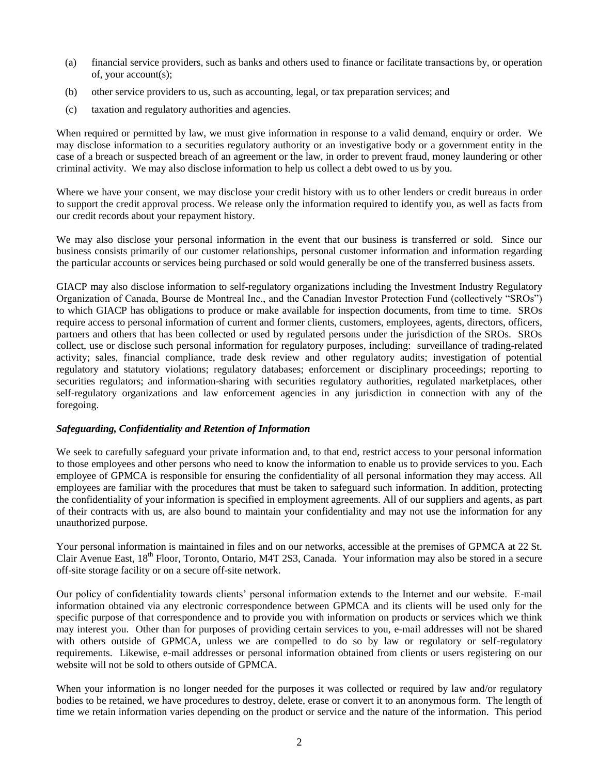- (a) financial service providers, such as banks and others used to finance or facilitate transactions by, or operation of, your account(s);
- (b) other service providers to us, such as accounting, legal, or tax preparation services; and
- (c) taxation and regulatory authorities and agencies.

When required or permitted by law, we must give information in response to a valid demand, enquiry or order. We may disclose information to a securities regulatory authority or an investigative body or a government entity in the case of a breach or suspected breach of an agreement or the law, in order to prevent fraud, money laundering or other criminal activity. We may also disclose information to help us collect a debt owed to us by you.

Where we have your consent, we may disclose your credit history with us to other lenders or credit bureaus in order to support the credit approval process. We release only the information required to identify you, as well as facts from our credit records about your repayment history.

We may also disclose your personal information in the event that our business is transferred or sold. Since our business consists primarily of our customer relationships, personal customer information and information regarding the particular accounts or services being purchased or sold would generally be one of the transferred business assets.

GIACP may also disclose information to self-regulatory organizations including the Investment Industry Regulatory Organization of Canada, Bourse de Montreal Inc., and the Canadian Investor Protection Fund (collectively "SROs") to which GIACP has obligations to produce or make available for inspection documents, from time to time. SROs require access to personal information of current and former clients, customers, employees, agents, directors, officers, partners and others that has been collected or used by regulated persons under the jurisdiction of the SROs. SROs collect, use or disclose such personal information for regulatory purposes, including: surveillance of trading-related activity; sales, financial compliance, trade desk review and other regulatory audits; investigation of potential regulatory and statutory violations; regulatory databases; enforcement or disciplinary proceedings; reporting to securities regulators; and information-sharing with securities regulatory authorities, regulated marketplaces, other self-regulatory organizations and law enforcement agencies in any jurisdiction in connection with any of the foregoing.

### *Safeguarding, Confidentiality and Retention of Information*

We seek to carefully safeguard your private information and, to that end, restrict access to your personal information to those employees and other persons who need to know the information to enable us to provide services to you. Each employee of GPMCA is responsible for ensuring the confidentiality of all personal information they may access. All employees are familiar with the procedures that must be taken to safeguard such information. In addition, protecting the confidentiality of your information is specified in employment agreements. All of our suppliers and agents, as part of their contracts with us, are also bound to maintain your confidentiality and may not use the information for any unauthorized purpose.

Your personal information is maintained in files and on our networks, accessible at the premises of GPMCA at 22 St. Clair Avenue East, 18<sup>th</sup> Floor, Toronto, Ontario, M4T 2S3, Canada. Your information may also be stored in a secure off-site storage facility or on a secure off-site network.

Our policy of confidentiality towards clients' personal information extends to the Internet and our website. E-mail information obtained via any electronic correspondence between GPMCA and its clients will be used only for the specific purpose of that correspondence and to provide you with information on products or services which we think may interest you. Other than for purposes of providing certain services to you, e-mail addresses will not be shared with others outside of GPMCA, unless we are compelled to do so by law or regulatory or self-regulatory requirements. Likewise, e-mail addresses or personal information obtained from clients or users registering on our website will not be sold to others outside of GPMCA.

When your information is no longer needed for the purposes it was collected or required by law and/or regulatory bodies to be retained, we have procedures to destroy, delete, erase or convert it to an anonymous form. The length of time we retain information varies depending on the product or service and the nature of the information. This period